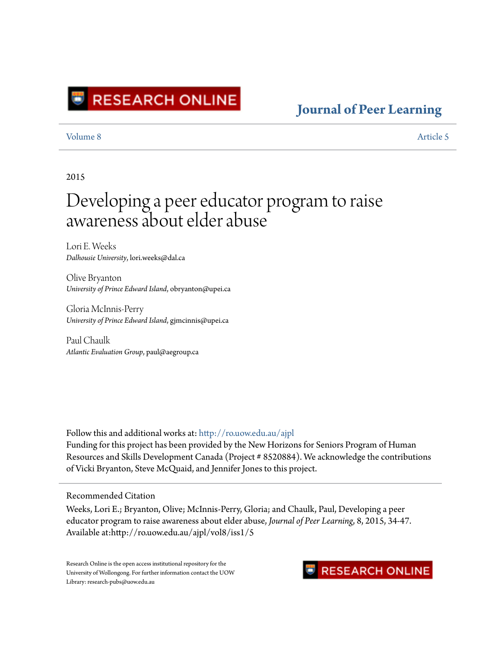

### **[Journal of Peer Learning](http://ro.uow.edu.au/ajpl?utm_source=ro.uow.edu.au%2Fajpl%2Fvol8%2Fiss1%2F5&utm_medium=PDF&utm_campaign=PDFCoverPages)**

[Volume 8](http://ro.uow.edu.au/ajpl/vol8?utm_source=ro.uow.edu.au%2Fajpl%2Fvol8%2Fiss1%2F5&utm_medium=PDF&utm_campaign=PDFCoverPages) [Article 5](http://ro.uow.edu.au/ajpl/vol8/iss1/5?utm_source=ro.uow.edu.au%2Fajpl%2Fvol8%2Fiss1%2F5&utm_medium=PDF&utm_campaign=PDFCoverPages)

2015

# Developing a peer educator program to raise awareness about elder abuse

Lori E. Weeks *Dalhousie University*, lori.weeks@dal.ca

Olive Bryanton *University of Prince Edward Island*, obryanton@upei.ca

Gloria McInnis-Perry *University of Prince Edward Island*, gjmcinnis@upei.ca

Paul Chaulk *Atlantic Evaluation Group*, paul@aegroup.ca

Follow this and additional works at: [http://ro.uow.edu.au/ajpl](http://ro.uow.edu.au/ajpl?utm_source=ro.uow.edu.au%2Fajpl%2Fvol8%2Fiss1%2F5&utm_medium=PDF&utm_campaign=PDFCoverPages) Funding for this project has been provided by the New Horizons for Seniors Program of Human Resources and Skills Development Canada (Project # 8520884). We acknowledge the contributions of Vicki Bryanton, Steve McQuaid, and Jennifer Jones to this project.

#### Recommended Citation

Weeks, Lori E.; Bryanton, Olive; McInnis-Perry, Gloria; and Chaulk, Paul, Developing a peer educator program to raise awareness about elder abuse, *Journal of Peer Learning*, 8, 2015, 34-47. Available at:http://ro.uow.edu.au/ajpl/vol8/iss1/5

Research Online is the open access institutional repository for the University of Wollongong. For further information contact the UOW Library: research-pubs@uow.edu.au

### **RESEARCH ONLINE**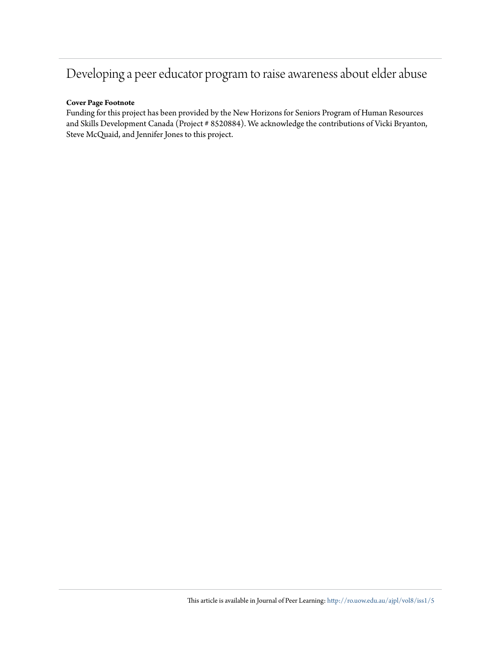## Developing a peer educator program to raise awareness about elder abuse

### **Cover Page Footnote**

Funding for this project has been provided by the New Horizons for Seniors Program of Human Resources and Skills Development Canada (Project # 8520884). We acknowledge the contributions of Vicki Bryanton, Steve McQuaid, and Jennifer Jones to this project.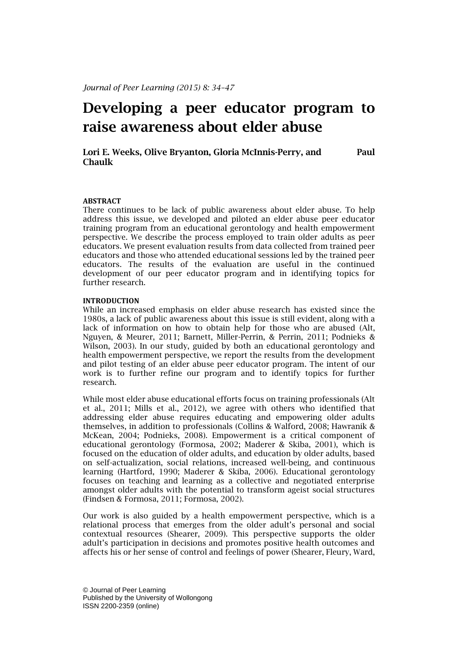### **Developing a peer educator program to raise awareness about elder abuse**

**Lori E. Weeks, Olive Bryanton, Gloria McInnis-Perry, and Paul Chaulk**

#### **ABSTRACT**

There continues to be lack of public awareness about elder abuse. To help address this issue, we developed and piloted an elder abuse peer educator training program from an educational gerontology and health empowerment perspective. We describe the process employed to train older adults as peer educators. We present evaluation results from data collected from trained peer educators and those who attended educational sessions led by the trained peer educators. The results of the evaluation are useful in the continued development of our peer educator program and in identifying topics for further research.

#### **INTRODUCTION**

While an increased emphasis on elder abuse research has existed since the 1980s, a lack of public awareness about this issue is still evident, along with a lack of information on how to obtain help for those who are abused (Alt, Nguyen, & Meurer, 2011; Barnett, Miller-Perrin, & Perrin, 2011; Podnieks & Wilson, 2003). In our study, guided by both an educational gerontology and health empowerment perspective, we report the results from the development and pilot testing of an elder abuse peer educator program. The intent of our work is to further refine our program and to identify topics for further research.

While most elder abuse educational efforts focus on training professionals (Alt et al., 2011; Mills et al., 2012), we agree with others who identified that addressing elder abuse requires educating and empowering older adults themselves, in addition to professionals (Collins & Walford, 2008; Hawranik & McKean, 2004; Podnieks, 2008). Empowerment is a critical component of educational gerontology (Formosa, 2002; Maderer & Skiba, 2001), which is focused on the education of older adults, and education by older adults, based on self-actualization, social relations, increased well-being, and continuous learning (Hartford, 1990; Maderer & Skiba, 2006). Educational gerontology focuses on teaching and learning as a collective and negotiated enterprise amongst older adults with the potential to transform ageist social structures (Findsen & Formosa, 2011; Formosa, 2002).

Our work is also guided by a health empowerment perspective, which is a relational process that emerges from the older adult's personal and social contextual resources (Shearer, 2009). This perspective supports the older adult's participation in decisions and promotes positive health outcomes and affects his or her sense of control and feelings of power (Shearer, Fleury, Ward,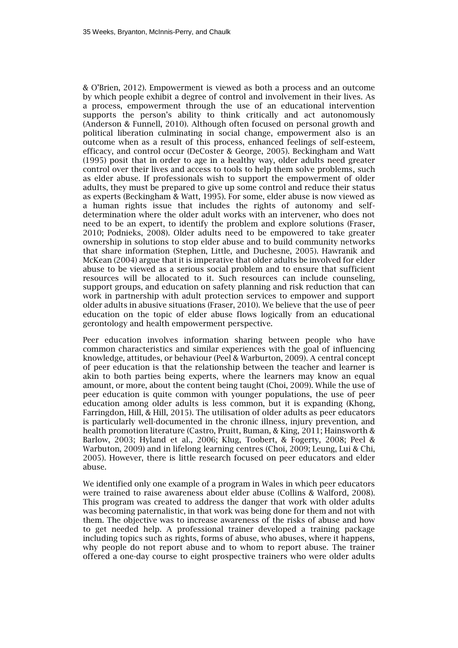& O'Brien, 2012). Empowerment is viewed as both a process and an outcome by which people exhibit a degree of control and involvement in their lives. As a process, empowerment through the use of an educational intervention supports the person's ability to think critically and act autonomously (Anderson & Funnell, 2010). Although often focused on personal growth and political liberation culminating in social change, empowerment also is an outcome when as a result of this process, enhanced feelings of self-esteem, efficacy, and control occur (DeCoster & George, 2005). Beckingham and Watt (1995) posit that in order to age in a healthy way, older adults need greater control over their lives and access to tools to help them solve problems, such as elder abuse. If professionals wish to support the empowerment of older adults, they must be prepared to give up some control and reduce their status as experts (Beckingham & Watt, 1995). For some, elder abuse is now viewed as a human rights issue that includes the rights of autonomy and selfdetermination where the older adult works with an intervener, who does not need to be an expert, to identify the problem and explore solutions (Fraser, 2010; Podnieks, 2008). Older adults need to be empowered to take greater ownership in solutions to stop elder abuse and to build community networks that share information (Stephen, Little, and Duchesne, 2005). Hawranik and McKean (2004) argue that it is imperative that older adults be involved for elder abuse to be viewed as a serious social problem and to ensure that sufficient resources will be allocated to it. Such resources can include counseling, support groups, and education on safety planning and risk reduction that can work in partnership with adult protection services to empower and support older adults in abusive situations (Fraser, 2010). We believe that the use of peer education on the topic of elder abuse flows logically from an educational gerontology and health empowerment perspective.

Peer education involves information sharing between people who have common characteristics and similar experiences with the goal of influencing knowledge, attitudes, or behaviour (Peel & Warburton, 2009). A central concept of peer education is that the relationship between the teacher and learner is akin to both parties being experts, where the learners may know an equal amount, or more, about the content being taught (Choi, 2009). While the use of peer education is quite common with younger populations, the use of peer education among older adults is less common, but it is expanding (Khong, Farringdon, Hill, & Hill, 2015). The utilisation of older adults as peer educators is particularly well-documented in the chronic illness, injury prevention, and health promotion literature (Castro, Pruitt, Buman, & King, 2011; Hainsworth & Barlow, 2003; Hyland et al., 2006; Klug, Toobert, & Fogerty, 2008; Peel & Warbuton, 2009) and in lifelong learning centres (Choi, 2009; Leung, Lui & Chi, 2005). However, there is little research focused on peer educators and elder abuse.

We identified only one example of a program in Wales in which peer educators were trained to raise awareness about elder abuse (Collins & Walford, 2008). This program was created to address the danger that work with older adults was becoming paternalistic, in that work was being done for them and not with them. The objective was to increase awareness of the risks of abuse and how to get needed help. A professional trainer developed a training package including topics such as rights, forms of abuse, who abuses, where it happens, why people do not report abuse and to whom to report abuse. The trainer offered a one-day course to eight prospective trainers who were older adults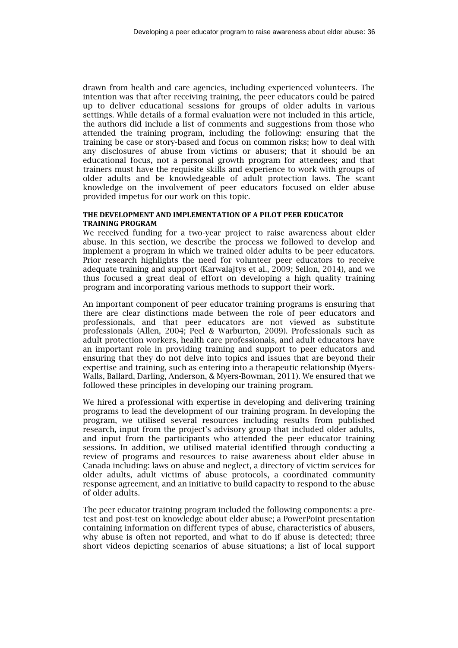drawn from health and care agencies, including experienced volunteers. The intention was that after receiving training, the peer educators could be paired up to deliver educational sessions for groups of older adults in various settings. While details of a formal evaluation were not included in this article, the authors did include a list of comments and suggestions from those who attended the training program, including the following: ensuring that the training be case or story-based and focus on common risks; how to deal with any disclosures of abuse from victims or abusers; that it should be an educational focus, not a personal growth program for attendees; and that trainers must have the requisite skills and experience to work with groups of older adults and be knowledgeable of adult protection laws. The scant knowledge on the involvement of peer educators focused on elder abuse provided impetus for our work on this topic.

#### **THE DEVELOPMENT AND IMPLEMENTATION OF A PILOT PEER EDUCATOR TRAINING PROGRAM**

We received funding for a two-year project to raise awareness about elder abuse. In this section, we describe the process we followed to develop and implement a program in which we trained older adults to be peer educators. Prior research highlights the need for volunteer peer educators to receive adequate training and support (Karwalajtys et al., 2009; Sellon, 2014), and we thus focused a great deal of effort on developing a high quality training program and incorporating various methods to support their work.

An important component of peer educator training programs is ensuring that there are clear distinctions made between the role of peer educators and professionals, and that peer educators are not viewed as substitute professionals (Allen, 2004; Peel & Warburton, 2009). Professionals such as adult protection workers, health care professionals, and adult educators have an important role in providing training and support to peer educators and ensuring that they do not delve into topics and issues that are beyond their expertise and training, such as entering into a therapeutic relationship (Myers-Walls, Ballard, Darling, Anderson, & Myers-Bowman, 2011). We ensured that we followed these principles in developing our training program.

We hired a professional with expertise in developing and delivering training programs to lead the development of our training program. In developing the program, we utilised several resources including results from published research, input from the project's advisory group that included older adults, and input from the participants who attended the peer educator training sessions. In addition, we utilised material identified through conducting a review of programs and resources to raise awareness about elder abuse in Canada including: laws on abuse and neglect, a directory of victim services for older adults, adult victims of abuse protocols, a coordinated community response agreement, and an initiative to build capacity to respond to the abuse of older adults.

The peer educator training program included the following components: a pretest and post-test on knowledge about elder abuse; a PowerPoint presentation containing information on different types of abuse, characteristics of abusers, why abuse is often not reported, and what to do if abuse is detected; three short videos depicting scenarios of abuse situations; a list of local support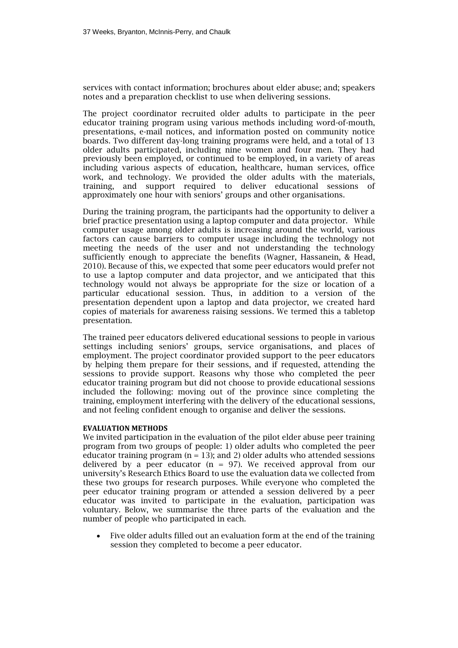services with contact information; brochures about elder abuse; and; speakers notes and a preparation checklist to use when delivering sessions.

The project coordinator recruited older adults to participate in the peer educator training program using various methods including word-of-mouth, presentations, e-mail notices, and information posted on community notice boards. Two different day-long training programs were held, and a total of 13 older adults participated, including nine women and four men. They had previously been employed, or continued to be employed, in a variety of areas including various aspects of education, healthcare, human services, office work, and technology. We provided the older adults with the materials, training, and support required to deliver educational sessions of approximately one hour with seniors' groups and other organisations.

During the training program, the participants had the opportunity to deliver a brief practice presentation using a laptop computer and data projector. While computer usage among older adults is increasing around the world, various factors can cause barriers to computer usage including the technology not meeting the needs of the user and not understanding the technology sufficiently enough to appreciate the benefits (Wagner, Hassanein, & Head, 2010). Because of this, we expected that some peer educators would prefer not to use a laptop computer and data projector, and we anticipated that this technology would not always be appropriate for the size or location of a particular educational session. Thus, in addition to a version of the presentation dependent upon a laptop and data projector, we created hard copies of materials for awareness raising sessions. We termed this a tabletop presentation.

The trained peer educators delivered educational sessions to people in various settings including seniors' groups, service organisations, and places of employment. The project coordinator provided support to the peer educators by helping them prepare for their sessions, and if requested, attending the sessions to provide support. Reasons why those who completed the peer educator training program but did not choose to provide educational sessions included the following: moving out of the province since completing the training, employment interfering with the delivery of the educational sessions, and not feeling confident enough to organise and deliver the sessions.

#### **EVALUATION METHODS**

We invited participation in the evaluation of the pilot elder abuse peer training program from two groups of people: 1) older adults who completed the peer educator training program  $(n = 13)$ ; and 2) older adults who attended sessions delivered by a peer educator  $(n = 97)$ . We received approval from our university's Research Ethics Board to use the evaluation data we collected from these two groups for research purposes. While everyone who completed the peer educator training program or attended a session delivered by a peer educator was invited to participate in the evaluation, participation was voluntary. Below, we summarise the three parts of the evaluation and the number of people who participated in each.

 Five older adults filled out an evaluation form at the end of the training session they completed to become a peer educator.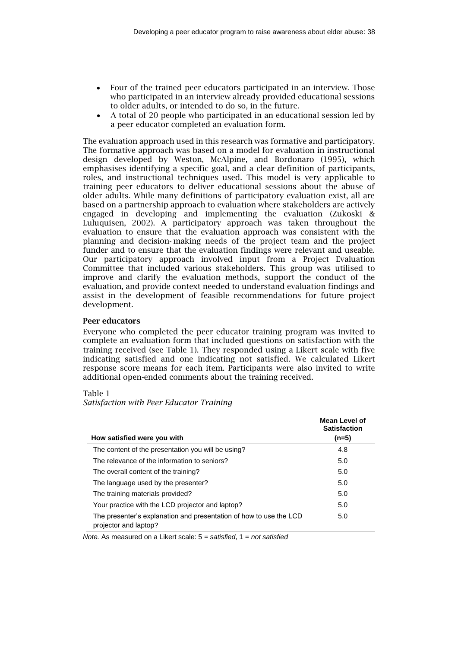- Four of the trained peer educators participated in an interview. Those who participated in an interview already provided educational sessions to older adults, or intended to do so, in the future.
- A total of 20 people who participated in an educational session led by a peer educator completed an evaluation form.

The evaluation approach used in this research was formative and participatory. The formative approach was based on a model for evaluation in instructional design developed by Weston, McAlpine, and Bordonaro (1995), which emphasises identifying a specific goal, and a clear definition of participants, roles, and instructional techniques used. This model is very applicable to training peer educators to deliver educational sessions about the abuse of older adults. While many definitions of participatory evaluation exist, all are based on a partnership approach to evaluation where stakeholders are actively engaged in developing and implementing the evaluation (Zukoski & Luluquisen, 2002). A participatory approach was taken throughout the evaluation to ensure that the evaluation approach was consistent with the planning and decision‐ making needs of the project team and the project funder and to ensure that the evaluation findings were relevant and useable. Our participatory approach involved input from a Project Evaluation Committee that included various stakeholders. This group was utilised to improve and clarify the evaluation methods, support the conduct of the evaluation, and provide context needed to understand evaluation findings and assist in the development of feasible recommendations for future project development.

#### **Peer educators**

Everyone who completed the peer educator training program was invited to complete an evaluation form that included questions on satisfaction with the training received (see Table 1). They responded using a Likert scale with five indicating satisfied and one indicating not satisfied. We calculated Likert response score means for each item. Participants were also invited to write additional open-ended comments about the training received.

#### Table 1

*Satisfaction with Peer Educator Training* 

|                                                                                             | Mean Level of<br><b>Satisfaction</b> |
|---------------------------------------------------------------------------------------------|--------------------------------------|
| How satisfied were you with                                                                 | $(n=5)$                              |
| The content of the presentation you will be using?                                          | 4.8                                  |
| The relevance of the information to seniors?                                                | 5.0                                  |
| The overall content of the training?                                                        | 5.0                                  |
| The language used by the presenter?                                                         | 5.0                                  |
| The training materials provided?                                                            | 5.0                                  |
| Your practice with the LCD projector and laptop?                                            | 5.0                                  |
| The presenter's explanation and presentation of how to use the LCD<br>projector and laptop? | 5.0                                  |

*Note.* As measured on a Likert scale: 5 = *satisfied*, 1 = *not satisfied*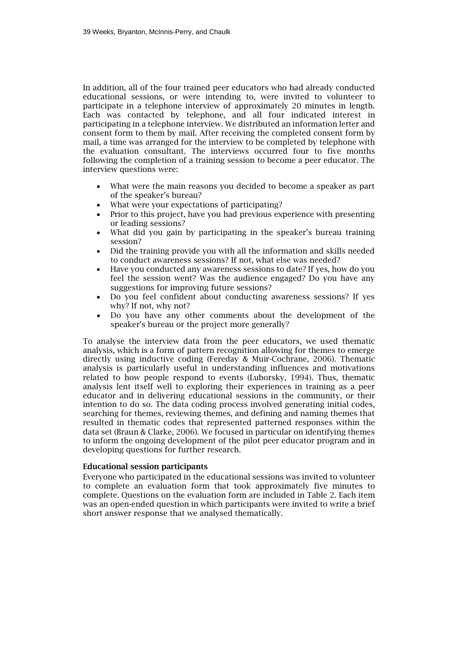In addition, all of the four trained peer educators who had already conducted educational sessions, or were intending to, were invited to volunteer to participate in a telephone interview of approximately 20 minutes in length. Each was contacted by telephone, and all four indicated interest in participating in a telephone interview. We distributed an information letter and consent form to them by mail. After receiving the completed consent form by mail, a time was arranged for the interview to be completed by telephone with the evaluation consultant. The interviews occurred four to five months following the completion of a training session to become a peer educator. The interview questions were:

- What were the main reasons you decided to become a speaker as part of the speaker's bureau?
- What were your expectations of participating?
- Prior to this project, have you had previous experience with presenting or leading sessions?
- What did you gain by participating in the speaker's bureau training session?
- Did the training provide you with all the information and skills needed to conduct awareness sessions? If not, what else was needed?
- Have you conducted any awareness sessions to date? If yes, how do you feel the session went? Was the audience engaged? Do you have any suggestions for improving future sessions?
- Do you feel confident about conducting awareness sessions? If yes why? If not, why not?
- Do you have any other comments about the development of the speaker's bureau or the project more generally?

To analyse the interview data from the peer educators, we used thematic analysis, which is a form of pattern recognition allowing for themes to emerge directly using inductive coding (Fereday & Muir-Cochrane, 2006). Thematic analysis is particularly useful in understanding influences and motivations related to how people respond to events (Luborsky, 1994). Thus, thematic analysis lent itself well to exploring their experiences in training as a peer educator and in delivering educational sessions in the community, or their intention to do so. The data coding process involved generating initial codes, searching for themes, reviewing themes, and defining and naming themes that resulted in thematic codes that represented patterned responses within the data set (Braun & Clarke, 2006). We focused in particular on identifying themes to inform the ongoing development of the pilot peer educator program and in developing questions for further research.

#### **Educational session participants**

Everyone who participated in the educational sessions was invited to volunteer to complete an evaluation form that took approximately five minutes to complete. Questions on the evaluation form are included in Table 2. Each item was an open-ended question in which participants were invited to write a brief short answer response that we analysed thematically.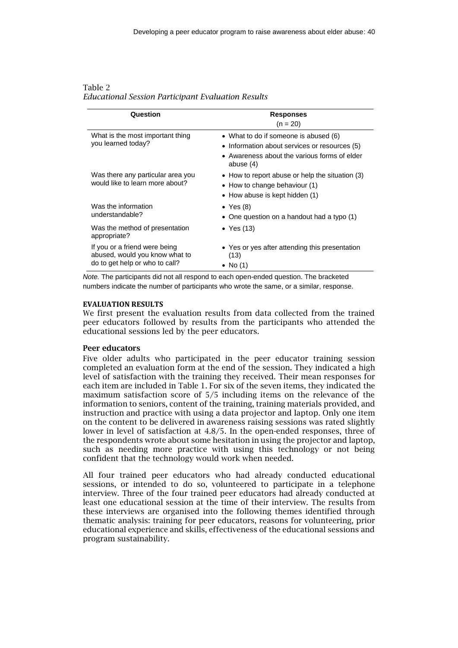| Table 2                                                   |  |  |
|-----------------------------------------------------------|--|--|
| <b>Educational Session Participant Evaluation Results</b> |  |  |

| Question                                                                                          | <b>Responses</b>                                                                                                                                    |
|---------------------------------------------------------------------------------------------------|-----------------------------------------------------------------------------------------------------------------------------------------------------|
|                                                                                                   | $(n = 20)$                                                                                                                                          |
| What is the most important thing<br>you learned today?                                            | • What to do if someone is abused (6)<br>• Information about services or resources (5)<br>• Awareness about the various forms of elder<br>abuse (4) |
| Was there any particular area you<br>would like to learn more about?                              | • How to report abuse or help the situation (3)<br>$\bullet$ How to change behaviour (1)<br>• How abuse is kept hidden (1)                          |
| Was the information<br>understandable?                                                            | • Yes $(8)$<br>• One question on a handout had a typo $(1)$                                                                                         |
| Was the method of presentation<br>appropriate?                                                    | • Yes $(13)$                                                                                                                                        |
| If you or a friend were being<br>abused, would you know what to<br>do to get help or who to call? | • Yes or yes after attending this presentation<br>(13)<br>$\bullet$ No (1)                                                                          |

*Note.* The participants did not all respond to each open-ended question. The bracketed numbers indicate the number of participants who wrote the same, or a similar, response.

#### **EVALUATION RESULTS**

We first present the evaluation results from data collected from the trained peer educators followed by results from the participants who attended the educational sessions led by the peer educators.

#### **Peer educators**

Five older adults who participated in the peer educator training session completed an evaluation form at the end of the session. They indicated a high level of satisfaction with the training they received. Their mean responses for each item are included in Table 1. For six of the seven items, they indicated the maximum satisfaction score of 5/5 including items on the relevance of the information to seniors, content of the training, training materials provided, and instruction and practice with using a data projector and laptop. Only one item on the content to be delivered in awareness raising sessions was rated slightly lower in level of satisfaction at 4.8/5. In the open-ended responses, three of the respondents wrote about some hesitation in using the projector and laptop, such as needing more practice with using this technology or not being confident that the technology would work when needed.

All four trained peer educators who had already conducted educational sessions, or intended to do so, volunteered to participate in a telephone interview. Three of the four trained peer educators had already conducted at least one educational session at the time of their interview. The results from these interviews are organised into the following themes identified through thematic analysis: training for peer educators, reasons for volunteering, prior educational experience and skills, effectiveness of the educational sessions and program sustainability.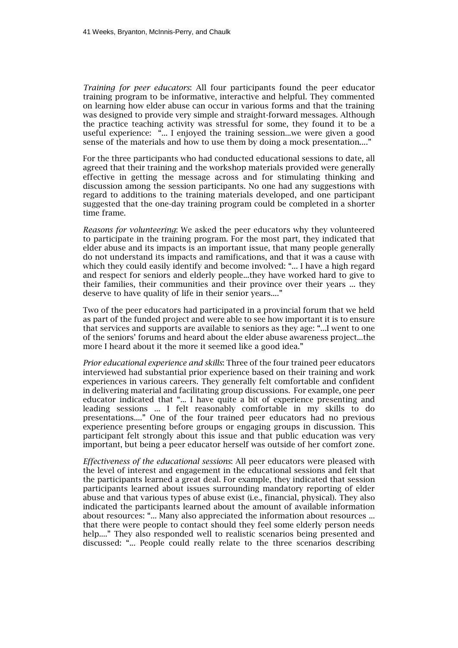*Training for peer educators*: All four participants found the peer educator training program to be informative, interactive and helpful. They commented on learning how elder abuse can occur in various forms and that the training was designed to provide very simple and straight-forward messages. Although the practice teaching activity was stressful for some, they found it to be a useful experience: "... I enjoyed the training session...we were given a good sense of the materials and how to use them by doing a mock presentation...."

For the three participants who had conducted educational sessions to date, all agreed that their training and the workshop materials provided were generally effective in getting the message across and for stimulating thinking and discussion among the session participants. No one had any suggestions with regard to additions to the training materials developed, and one participant suggested that the one-day training program could be completed in a shorter time frame.

*Reasons for volunteering*: We asked the peer educators why they volunteered to participate in the training program. For the most part, they indicated that elder abuse and its impacts is an important issue, that many people generally do not understand its impacts and ramifications, and that it was a cause with which they could easily identify and become involved: "... I have a high regard and respect for seniors and elderly people...they have worked hard to give to their families, their communities and their province over their years ... they deserve to have quality of life in their senior years...."

Two of the peer educators had participated in a provincial forum that we held as part of the funded project and were able to see how important it is to ensure that services and supports are available to seniors as they age: "...I went to one of the seniors' forums and heard about the elder abuse awareness project...the more I heard about it the more it seemed like a good idea."

*Prior educational experience and skills*: Three of the four trained peer educators interviewed had substantial prior experience based on their training and work experiences in various careers. They generally felt comfortable and confident in delivering material and facilitating group discussions. For example, one peer educator indicated that "... I have quite a bit of experience presenting and leading sessions ... I felt reasonably comfortable in my skills to do presentations...." One of the four trained peer educators had no previous experience presenting before groups or engaging groups in discussion. This participant felt strongly about this issue and that public education was very important, but being a peer educator herself was outside of her comfort zone.

*Effectiveness of the educational sessions*: All peer educators were pleased with the level of interest and engagement in the educational sessions and felt that the participants learned a great deal. For example, they indicated that session participants learned about issues surrounding mandatory reporting of elder abuse and that various types of abuse exist (i.e., financial, physical). They also indicated the participants learned about the amount of available information about resources: "... Many also appreciated the information about resources ... that there were people to contact should they feel some elderly person needs help...." They also responded well to realistic scenarios being presented and discussed: "... People could really relate to the three scenarios describing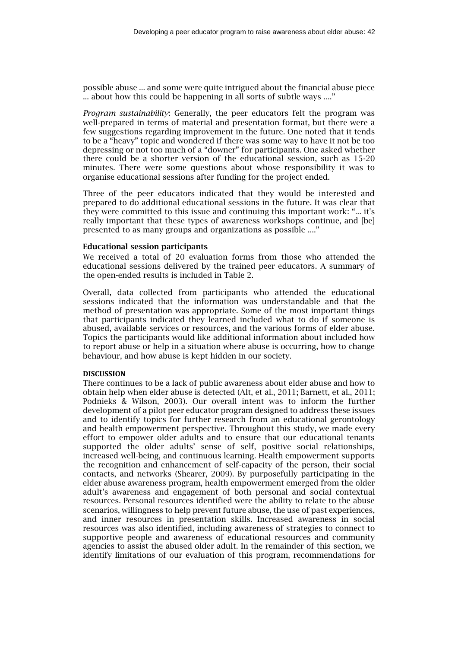possible abuse ... and some were quite intrigued about the financial abuse piece ... about how this could be happening in all sorts of subtle ways ...."

*Program sustainability*: Generally, the peer educators felt the program was well-prepared in terms of material and presentation format, but there were a few suggestions regarding improvement in the future. One noted that it tends to be a "heavy" topic and wondered if there was some way to have it not be too depressing or not too much of a "downer" for participants. One asked whether there could be a shorter version of the educational session, such as 15-20 minutes. There were some questions about whose responsibility it was to organise educational sessions after funding for the project ended.

Three of the peer educators indicated that they would be interested and prepared to do additional educational sessions in the future. It was clear that they were committed to this issue and continuing this important work: "... it's really important that these types of awareness workshops continue, and [be] presented to as many groups and organizations as possible ...."

#### **Educational session participants**

We received a total of 20 evaluation forms from those who attended the educational sessions delivered by the trained peer educators. A summary of the open-ended results is included in Table 2.

Overall, data collected from participants who attended the educational sessions indicated that the information was understandable and that the method of presentation was appropriate. Some of the most important things that participants indicated they learned included what to do if someone is abused, available services or resources, and the various forms of elder abuse. Topics the participants would like additional information about included how to report abuse or help in a situation where abuse is occurring, how to change behaviour, and how abuse is kept hidden in our society.

#### **DISCUSSION**

There continues to be a lack of public awareness about elder abuse and how to obtain help when elder abuse is detected (Alt, et al., 2011; Barnett, et al., 2011; Podnieks & Wilson, 2003). Our overall intent was to inform the further development of a pilot peer educator program designed to address these issues and to identify topics for further research from an educational gerontology and health empowerment perspective. Throughout this study, we made every effort to empower older adults and to ensure that our educational tenants supported the older adults' sense of self, positive social relationships, increased well-being, and continuous learning. Health empowerment supports the recognition and enhancement of self-capacity of the person, their social contacts, and networks (Shearer, 2009). By purposefully participating in the elder abuse awareness program, health empowerment emerged from the older adult's awareness and engagement of both personal and social contextual resources. Personal resources identified were the ability to relate to the abuse scenarios, willingness to help prevent future abuse, the use of past experiences, and inner resources in presentation skills. Increased awareness in social resources was also identified, including awareness of strategies to connect to supportive people and awareness of educational resources and community agencies to assist the abused older adult. In the remainder of this section, we identify limitations of our evaluation of this program, recommendations for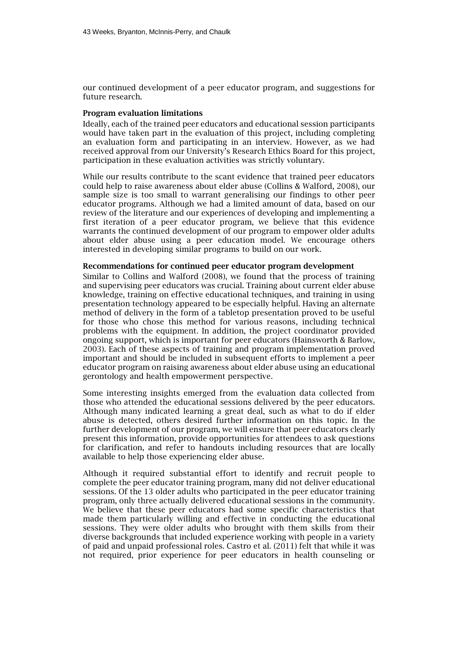our continued development of a peer educator program, and suggestions for future research.

#### **Program evaluation limitations**

Ideally, each of the trained peer educators and educational session participants would have taken part in the evaluation of this project, including completing an evaluation form and participating in an interview. However, as we had received approval from our University's Research Ethics Board for this project, participation in these evaluation activities was strictly voluntary.

While our results contribute to the scant evidence that trained peer educators could help to raise awareness about elder abuse (Collins & Walford, 2008), our sample size is too small to warrant generalising our findings to other peer educator programs. Although we had a limited amount of data, based on our review of the literature and our experiences of developing and implementing a first iteration of a peer educator program, we believe that this evidence warrants the continued development of our program to empower older adults about elder abuse using a peer education model. We encourage others interested in developing similar programs to build on our work.

#### **Recommendations for continued peer educator program development**

Similar to Collins and Walford (2008), we found that the process of training and supervising peer educators was crucial. Training about current elder abuse knowledge, training on effective educational techniques, and training in using presentation technology appeared to be especially helpful. Having an alternate method of delivery in the form of a tabletop presentation proved to be useful for those who chose this method for various reasons, including technical problems with the equipment. In addition, the project coordinator provided ongoing support, which is important for peer educators (Hainsworth & Barlow, 2003). Each of these aspects of training and program implementation proved important and should be included in subsequent efforts to implement a peer educator program on raising awareness about elder abuse using an educational gerontology and health empowerment perspective.

Some interesting insights emerged from the evaluation data collected from those who attended the educational sessions delivered by the peer educators. Although many indicated learning a great deal, such as what to do if elder abuse is detected, others desired further information on this topic. In the further development of our program, we will ensure that peer educators clearly present this information, provide opportunities for attendees to ask questions for clarification, and refer to handouts including resources that are locally available to help those experiencing elder abuse.

Although it required substantial effort to identify and recruit people to complete the peer educator training program, many did not deliver educational sessions. Of the 13 older adults who participated in the peer educator training program, only three actually delivered educational sessions in the community. We believe that these peer educators had some specific characteristics that made them particularly willing and effective in conducting the educational sessions. They were older adults who brought with them skills from their diverse backgrounds that included experience working with people in a variety of paid and unpaid professional roles. Castro et al. (2011) felt that while it was not required, prior experience for peer educators in health counseling or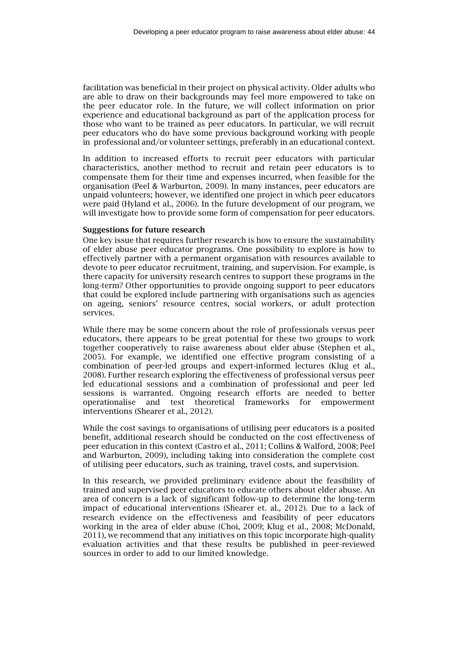facilitation was beneficial in their project on physical activity. Older adults who are able to draw on their backgrounds may feel more empowered to take on the peer educator role. In the future, we will collect information on prior experience and educational background as part of the application process for those who want to be trained as peer educators. In particular, we will recruit peer educators who do have some previous background working with people in professional and/or volunteer settings, preferably in an educational context.

In addition to increased efforts to recruit peer educators with particular characteristics, another method to recruit and retain peer educators is to compensate them for their time and expenses incurred, when feasible for the organisation (Peel & Warburton, 2009). In many instances, peer educators are unpaid volunteers; however, we identified one project in which peer educators were paid (Hyland et al., 2006). In the future development of our program, we will investigate how to provide some form of compensation for peer educators.

#### **Suggestions for future research**

One key issue that requires further research is how to ensure the sustainability of elder abuse peer educator programs. One possibility to explore is how to effectively partner with a permanent organisation with resources available to devote to peer educator recruitment, training, and supervision. For example, is there capacity for university research centres to support these programs in the long-term? Other opportunities to provide ongoing support to peer educators that could be explored include partnering with organisations such as agencies on ageing, seniors' resource centres, social workers, or adult protection services.

While there may be some concern about the role of professionals versus peer educators, there appears to be great potential for these two groups to work together cooperatively to raise awareness about elder abuse (Stephen et al., 2005). For example, we identified one effective program consisting of a combination of peer-led groups and expert-informed lectures (Klug et al., 2008). Further research exploring the effectiveness of professional versus peer led educational sessions and a combination of professional and peer led sessions is warranted. Ongoing research efforts are needed to better operationalise and test theoretical frameworks for empowerment interventions (Shearer et al., 2012).

While the cost savings to organisations of utilising peer educators is a posited benefit, additional research should be conducted on the cost effectiveness of peer education in this context (Castro et al., 2011; Collins & Walford, 2008; Peel and Warburton, 2009), including taking into consideration the complete cost of utilising peer educators, such as training, travel costs, and supervision.

In this research, we provided preliminary evidence about the feasibility of trained and supervised peer educators to educate others about elder abuse. An area of concern is a lack of significant follow-up to determine the long-term impact of educational interventions (Shearer et. al., 2012). Due to a lack of research evidence on the effectiveness and feasibility of peer educators working in the area of elder abuse (Choi, 2009; Klug et al., 2008; McDonald, 2011), we recommend that any initiatives on this topic incorporate high-quality evaluation activities and that these results be published in peer-reviewed sources in order to add to our limited knowledge.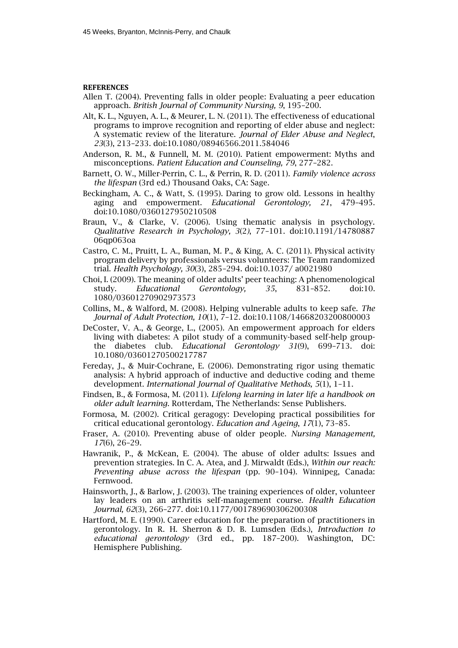#### **REFERENCES**

- Allen T. (2004). Preventing falls in older people: Evaluating a peer education approach. *British Journal of Community Nursing, 9*, 195–200.
- Alt, K. L., Nguyen, A. L., & Meurer, L. N. (2011). The effectiveness of educational programs to improve recognition and reporting of elder abuse and neglect: A systematic review of the literature. *Journal of Elder Abuse and Neglect*, *23*(3), 213–233. doi:10.1080/08946566.2011.584046
- Anderson, R. M., & Funnell, M. M. (2010). Patient empowerment: Myths and misconceptions. *Patient Education and Counseling, 79*, 277–282.
- Barnett, O. W., Miller-Perrin, C. L., & Perrin, R. D. (2011). *Family violence across the lifespan* (3rd ed.) Thousand Oaks, CA: Sage.
- Beckingham, A. C., & Watt, S. (1995). Daring to grow old. Lessons in healthy aging and empowerment. *Educational Gerontology, 21*, 479–495. doi:10.1080/0360127950210508
- Braun, V., & Clarke, V. (2006). Using thematic analysis in psychology. *Qualitative Research in Psychology, 3*(2*)*, 77–101. doi:10.1191/14780887 06qp063oa
- Castro, C. M., Pruitt, L. A., Buman, M. P., & King, A. C. (2011). Physical activity program delivery by professionals versus volunteers: The Team randomized trial. *Health Psychology, 30*(3), 285–294. doi:10.1037/ a0021980
- Choi, I. (2009). The meaning of older adults' peer teaching: A phenomenological study. *Educational Gerontology, 35*, 831–852. doi:10. 1080/03601270902973573
- Collins, M., & Walford, M. (2008). Helping vulnerable adults to keep safe. *The Journal of Adult Protection, 10*(1), 7–12. doi:10.1108/14668203200800003
- DeCoster, V. A., & George, L., (2005). An empowerment approach for elders living with diabetes: A pilot study of a community-based self-help groupthe diabetes club. *Educational Gerontology 31*(9), 699–713. doi: 10.1080/03601270500217787
- Fereday, J., & Muir-Cochrane, E. (2006). Demonstrating rigor using thematic analysis: A hybrid approach of inductive and deductive coding and theme development. *International Journal of Qualitative Methods, 5*(1), 1–11.
- Findsen, B., & Formosa, M. (2011). *Lifelong learning in later life a handbook on older adult learning*. Rotterdam, The Netherlands: Sense Publishers.
- Formosa, M. (2002). Critical geragogy: Developing practical possibilities for critical educational gerontology. *Education and Ageing*, *17*(1), 73–85.
- Fraser, A. (2010). Preventing abuse of older people. *Nursing Management, 17*(6), 26–29.
- Hawranik, P., & McKean, E. (2004). The abuse of older adults: Issues and prevention strategies. In C. A. Atea, and J. Mirwaldt (Eds.), *Within our reach: Preventing abuse across the lifespan* (pp. 90–104). Winnipeg, Canada: Fernwood.
- Hainsworth, J., & Barlow, J. (2003). The training experiences of older, volunteer lay leaders on an arthritis self-management course. *Health Education Journal, 62*(3), 266–277. doi:10.1177/001789690306200308
- Hartford, M. E. (1990). Career education for the preparation of practitioners in gerontology. In R. H. Sherron & D. B. Lumsden (Eds*.*), *Introduction to educational gerontology* (3rd ed., pp. 187–200). Washington, DC: Hemisphere Publishing.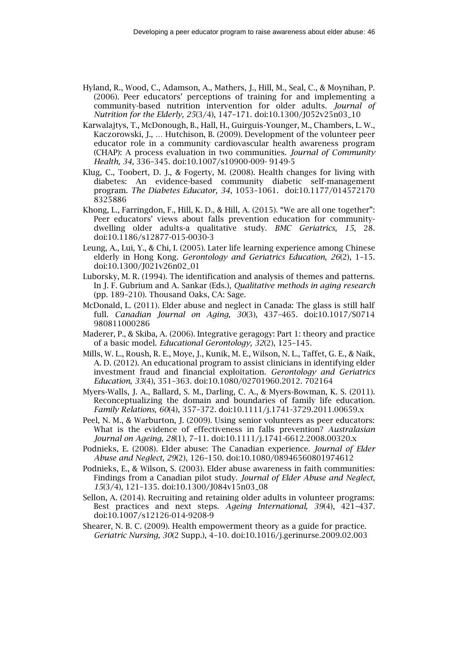- Hyland, R., Wood, C., Adamson, A., Mathers, J., Hill, M., Seal, C., & Moynihan, P. (2006). Peer educators' perceptions of training for and implementing a community-based nutrition intervention for older adults. *Journal of Nutrition for the Elderly, 25*(3/4), 147–171. doi:10.1300/J052v25n03\_10
- Karwalajtys, T., McDonough, B., Hall, H., Guirguis-Younger, M., Chambers, L. W., Kaczorowski, J., … Hutchison, B. (2009). Development of the volunteer peer educator role in a community cardiovascular health awareness program (CHAP): A process evaluation in two communities. *Journal of Community Health, 34*, 336–345. doi:10.1007/s10900-009- 9149-5
- Klug, C., Toobert, D. J., & Fogerty, M. (2008). Health changes for living with diabetes: An evidence-based community diabetic self-management program. *The Diabetes Educator, 34*, 1053–1061. doi:10.1177/014572170 8325886
- Khong, L., Farringdon, F., Hill, K. D., & Hill, A. (2015). "We are all one together": Peer educators' views about falls prevention education for communitydwelling older adults-a qualitative study. *BMC Geriatrics*, *15*, 28. doi:10.1186/s12877-015-0030-3
- Leung, A., Lui, Y., & Chi, I. (2005). Later life learning experience among Chinese elderly in Hong Kong. *Gerontology and Geriatrics Education*, *26*(2), 1–15. doi:10.1300/J021v26n02\_01
- Luborsky, M. R. (1994). The identification and analysis of themes and patterns. In J. F. Gubrium and A. Sankar (Eds.), *Qualitative methods in aging research* (pp. 189–210). Thousand Oaks, CA: Sage.
- McDonald, L. (2011). Elder abuse and neglect in Canada: The glass is still half full. *Canadian Journal on Aging, 30*(3), 437–465. doi:10.1017/S0714 980811000286
- Maderer, P., & Skiba, A. (2006). Integrative geragogy: Part 1: theory and practice of a basic model. *Educational Gerontology, 32*(2), 125–145.
- Mills, W. L., Roush, R. E., Moye, J., Kunik, M. E., Wilson, N. L., Taffet, G. E., & Naik, A. D. (2012). An educational program to assist clinicians in identifying elder investment fraud and financial exploitation. *Gerontology and Geriatrics Education*, *33*(4), 351–363. doi:10.1080/02701960.2012. 702164
- Myers-Walls, J. A., Ballard, S. M., Darling, C. A., & Myers-Bowman, K. S. (2011). Reconceptualizing the domain and boundaries of family life education. *Family Relations, 60*(4), 357–372. doi:10.1111/j.1741-3729.2011.00659.x
- Peel, N. M., & Warburton, J. (2009). Using senior volunteers as peer educators: What is the evidence of effectiveness in falls prevention? *Australasian Journal on Ageing, 28*(1), 7–11. doi:10.1111/j.1741-6612.2008.00320.x
- Podnieks, E. (2008). Elder abuse: The Canadian experience. *Journal of Elder Abuse and Neglect, 29*(2), 126–150. doi:10.1080/08946560801974612
- Podnieks, E., & Wilson, S. (2003). Elder abuse awareness in faith communities: Findings from a Canadian pilot study. *Journal of Elder Abuse and Neglect*, *15*(3/4), 121–135. doi:10.1300/J084v15n03\_08
- Sellon, A. (2014). Recruiting and retaining older adults in volunteer programs: Best practices and next steps. *Ageing International, 39*(4), 421–437. doi:10.1007/s12126-014-9208-9
- Shearer, N. B. C. (2009). Health empowerment theory as a guide for practice. *Geriatric Nursing, 30*(2 Supp.), 4–10. doi[:10.1016/j.gerinurse.2009.02.003](http://dx.doi.org/10.1016%2Fj.gerinurse.2009.02.003)